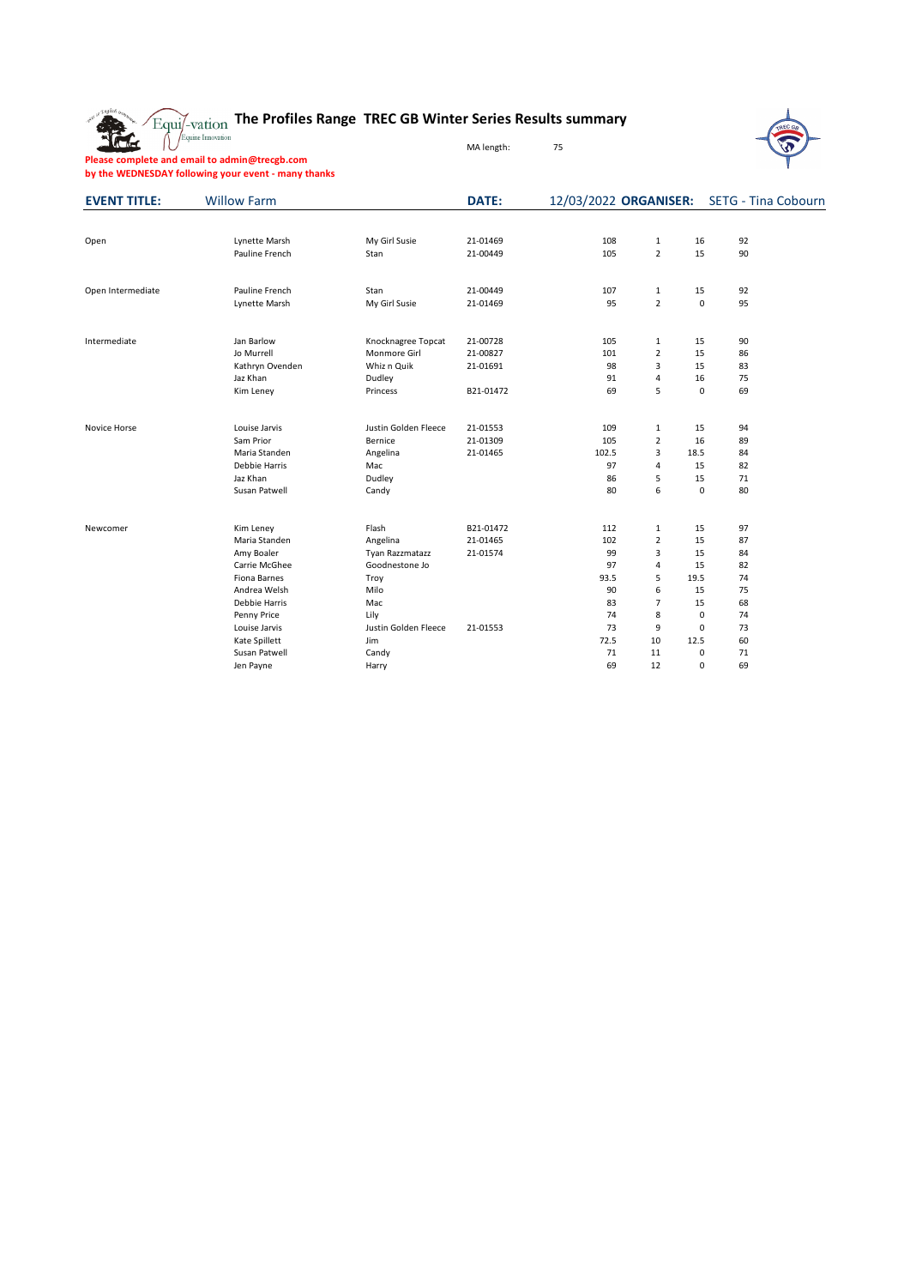The

#### **The Profiles Range TREC GB Winter Series Results summary**

MA length: 75



**Please complete and email to admin@trecgb.com by the WEDNESDAY following your event - many thanks**

| <b>EVENT TITLE:</b> | <b>Willow Farm</b> |                      | DATE:     |       | 12/03/2022 ORGANISER: |             | <b>SETG - Tina Cobourn</b> |
|---------------------|--------------------|----------------------|-----------|-------|-----------------------|-------------|----------------------------|
|                     |                    |                      |           |       |                       |             |                            |
| Open                | Lynette Marsh      | My Girl Susie        | 21-01469  | 108   | $\mathbf{1}$          | 16          | 92                         |
|                     | Pauline French     | Stan                 | 21-00449  | 105   | $\overline{2}$        | 15          | 90                         |
|                     |                    |                      |           |       |                       |             |                            |
| Open Intermediate   | Pauline French     | Stan                 | 21-00449  | 107   | $\mathbf{1}$          | 15          | 92                         |
|                     | Lynette Marsh      | My Girl Susie        | 21-01469  | 95    | $\overline{2}$        | $\mathsf 0$ | 95                         |
| Intermediate        | Jan Barlow         | Knocknagree Topcat   | 21-00728  | 105   | 1                     | 15          | 90                         |
|                     | Jo Murrell         | Monmore Girl         | 21-00827  | 101   | $\overline{2}$        | 15          | 86                         |
|                     | Kathryn Ovenden    | Whiz n Quik          | 21-01691  | 98    | 3                     | 15          | 83                         |
|                     | Jaz Khan           | Dudley               |           | 91    | $\overline{4}$        | 16          | 75                         |
|                     | Kim Leney          | Princess             | B21-01472 | 69    | 5                     | $\mathbf 0$ | 69                         |
| Novice Horse        | Louise Jarvis      | Justin Golden Fleece | 21-01553  | 109   | 1                     | 15          | 94                         |
|                     | Sam Prior          | Bernice              | 21-01309  | 105   | $\overline{2}$        | 16          | 89                         |
|                     | Maria Standen      | Angelina             | 21-01465  | 102.5 | 3                     | 18.5        | 84                         |
|                     | Debbie Harris      | Mac                  |           | 97    | $\overline{4}$        | 15          | 82                         |
|                     | Jaz Khan           | Dudley               |           | 86    | 5                     | 15          | 71                         |
|                     | Susan Patwell      | Candy                |           | 80    | 6                     | $\mathbf 0$ | 80                         |
|                     |                    |                      |           |       |                       |             |                            |
| Newcomer            | Kim Leney          | Flash                | B21-01472 | 112   | 1                     | 15          | 97                         |
|                     | Maria Standen      | Angelina             | 21-01465  | 102   | $\overline{2}$        | 15          | 87                         |
|                     | Amy Boaler         | Tyan Razzmatazz      | 21-01574  | 99    | 3                     | 15          | 84                         |
|                     | Carrie McGhee      | Goodnestone Jo       |           | 97    | $\overline{4}$        | 15          | 82                         |
|                     | Fiona Barnes       | Troy                 |           | 93.5  | 5                     | 19.5        | 74                         |
|                     | Andrea Welsh       | Milo                 |           | 90    | 6                     | 15          | 75                         |
|                     | Debbie Harris      | Mac                  |           | 83    | $\overline{7}$        | 15          | 68                         |
|                     | Penny Price        | Lily                 |           | 74    | 8                     | $\pmb{0}$   | 74                         |
|                     | Louise Jarvis      | Justin Golden Fleece | 21-01553  | 73    | 9                     | 0           | 73                         |
|                     | Kate Spillett      | Jim                  |           | 72.5  | 10                    | 12.5        | 60                         |
|                     | Susan Patwell      | Candy                |           | 71    | 11                    | 0           | 71                         |
|                     | Jen Payne          | Harry                |           | 69    | 12                    | 0           | 69                         |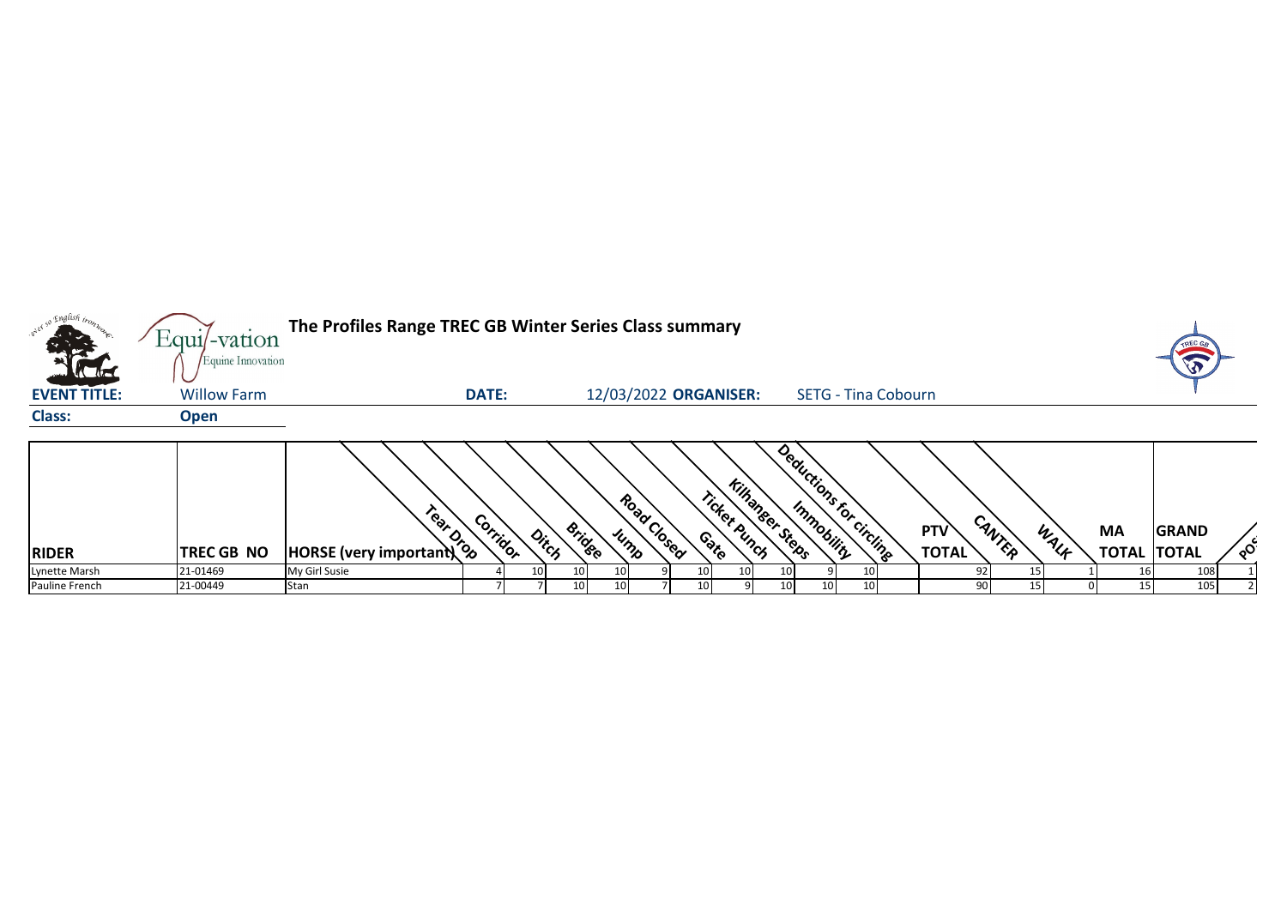| $\cdot e^{\lambda e^{\lambda}}$ | $Equi$ -vation                          | The Profiles Range TREC GB Winter Series Class summary |              |       |                 |      |                       |                                |                         |    |                            |                     |        |      |                                 | <b>TREC</b>  |          |
|---------------------------------|-----------------------------------------|--------------------------------------------------------|--------------|-------|-----------------|------|-----------------------|--------------------------------|-------------------------|----|----------------------------|---------------------|--------|------|---------------------------------|--------------|----------|
| <b>EVENT TITLE:</b>             | Equine Innovation<br><b>Willow Farm</b> |                                                        | <b>DATE:</b> |       |                 |      | 12/03/2022 ORGANISER: |                                |                         |    | <b>SETG - Tina Cobourn</b> |                     |        |      |                                 | $\sqrt{3}$   |          |
| <b>Class:</b>                   | <b>Open</b>                             |                                                        |              |       |                 |      |                       |                                |                         |    |                            |                     |        |      |                                 |              |          |
| <b>RIDER</b>                    | <b>TREC GB NO</b>                       | HORSE (very important)                                 | Corridor     | Ditch | <b>Bridge</b>   |      | Road Closed<br>Jump   | Ticket Punch<br>୍ଚ୍ଚ<br>୧<br>୧ | <b>Killianger Steps</b> |    | Deductions for circling    | PTV<br><b>TOTAL</b> | CANTER | WALF | <b>MA</b><br><b>TOTAL TOTAL</b> | <b>GRAND</b> | $\delta$ |
| Lynette Marsh                   | 21-01469                                | My Girl Susie                                          |              | 10    | 10              | 10 I |                       |                                |                         |    |                            |                     |        |      |                                 | 108          |          |
| Pauline French                  | 21-00449                                | Stan                                                   |              |       | 10 <sup>1</sup> | 10   |                       |                                |                         | 10 |                            | 90                  |        |      | 15                              | 105          |          |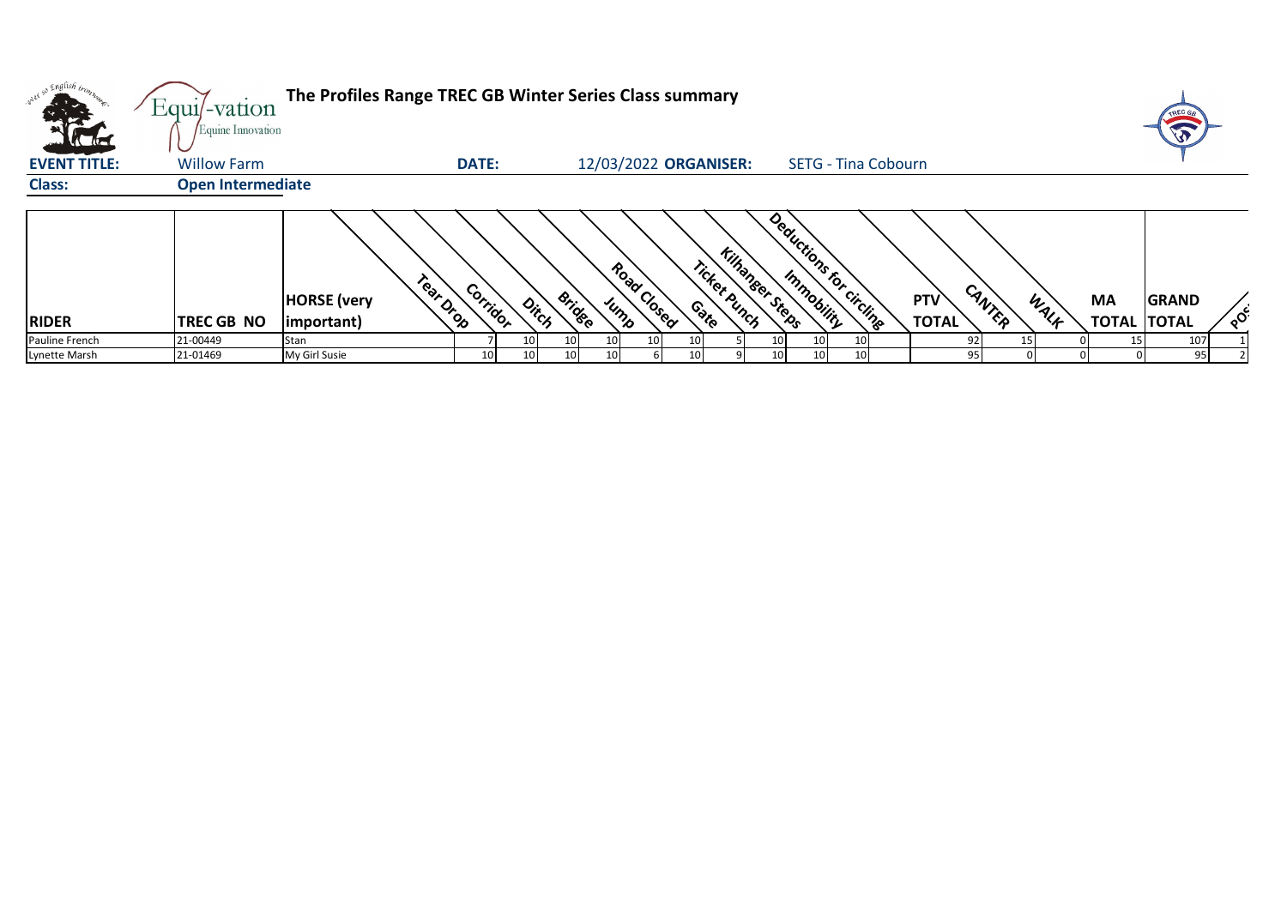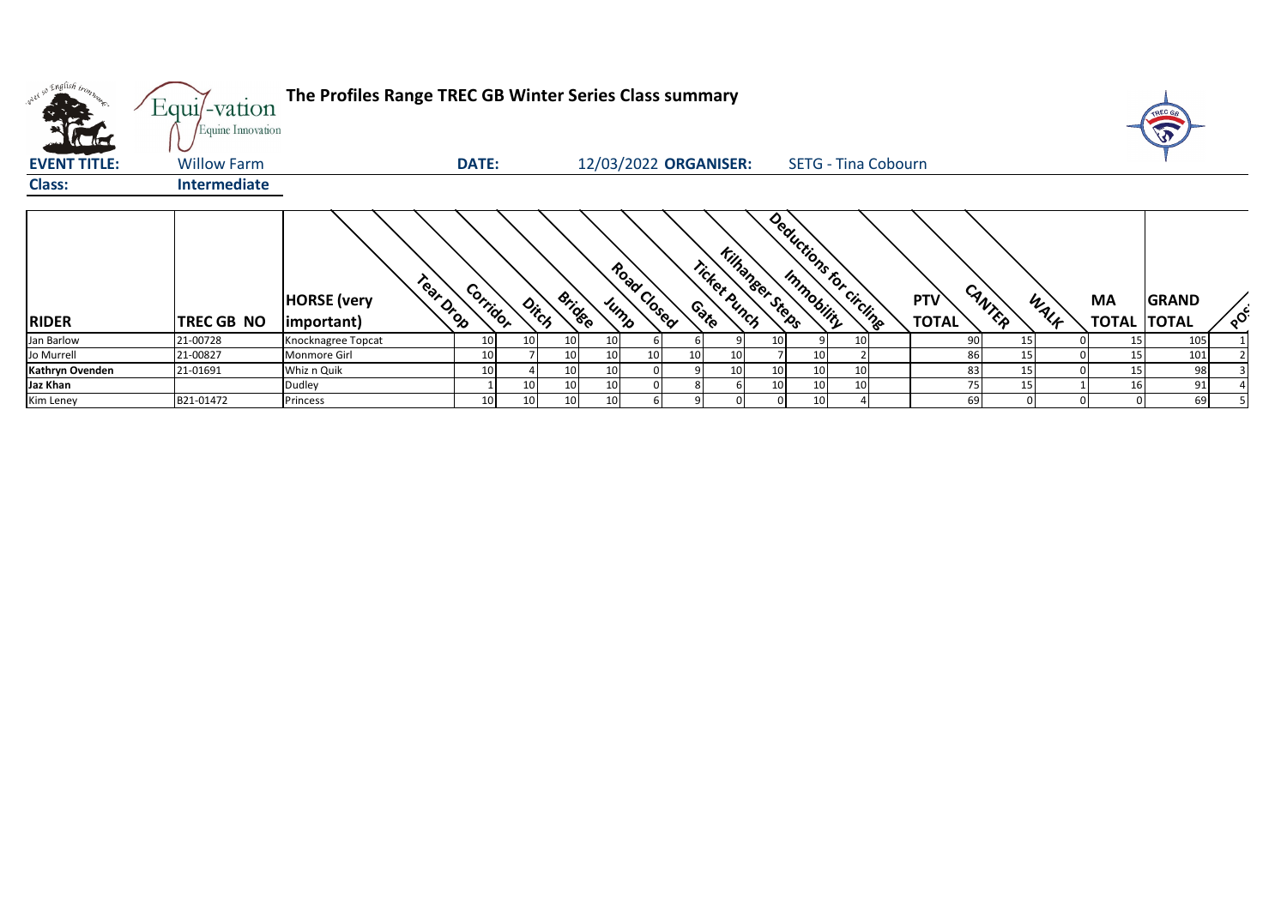| what so English tronz | Equi/-vation<br>Equine Innovation | The Profiles Range TREC GB Winter Series Class summary |                 |       |                 |                 |                       |                 |                                                 |    |    |                            |                     |        |      |                                 |              |          |
|-----------------------|-----------------------------------|--------------------------------------------------------|-----------------|-------|-----------------|-----------------|-----------------------|-----------------|-------------------------------------------------|----|----|----------------------------|---------------------|--------|------|---------------------------------|--------------|----------|
| <b>EVENT TITLE:</b>   | <b>Willow Farm</b>                |                                                        | <b>DATE:</b>    |       |                 |                 | 12/03/2022 ORGANISER: |                 |                                                 |    |    | <b>SETG - Tina Cobourn</b> |                     |        |      |                                 |              |          |
| <b>Class:</b>         | <b>Intermediate</b>               |                                                        |                 |       |                 |                 |                       |                 |                                                 |    |    |                            |                     |        |      |                                 |              |          |
| <b>RIDER</b>          | TREC GB NO                        | Tear Drop<br><b>HORSE</b> (very<br>important)          | Corridor        | Ditch | <b>Bridge</b>   |                 | Road Closed<br>Jump   |                 | <b>Killanger Steps</b><br>Ticket Punch<br>Conto |    |    | Deductions for circlings   | PTV<br><b>TOTAL</b> | CANTER | WALK | <b>MA</b><br><b>TOTAL TOTAL</b> | <b>GRAND</b> | $\delta$ |
| Jan Barlow            | 21-00728                          | Knocknagree Topcat                                     | 10 <sup>1</sup> | 10    | 10 <sup>1</sup> | 10 <sup>1</sup> |                       |                 |                                                 | 10 |    |                            | 90                  | 15     |      | 15                              | 105          |          |
| Jo Murrell            | 21-00827                          | Monmore Girl                                           | 10 <sup>1</sup> |       | 10 <sup>1</sup> | 10              | 10 <sub>1</sub>       | 10 <sup>1</sup> | 10                                              |    | 10 |                            | 86                  | 15     |      | 15                              | 101          |          |
| Kathryn Ovenden       | 21-01691                          | Whiz n Quik                                            | 10              |       | 10 <sup>°</sup> | 10 <sup>1</sup> |                       |                 | 10                                              | 10 |    |                            | 83                  |        |      | 15                              | 98           |          |
| Jaz Khan              |                                   | Dudley                                                 |                 | 10    | 10 <sup>°</sup> | 10 <sup>°</sup> |                       |                 |                                                 | 10 | 10 |                            | 75                  | 15     |      | 16                              | 91           |          |
| Kim Leney             | B21-01472                         | Princess                                               | 10              | 10    | 10 <sup>1</sup> | 10              |                       |                 |                                                 |    |    |                            | 69                  |        |      |                                 | 69           |          |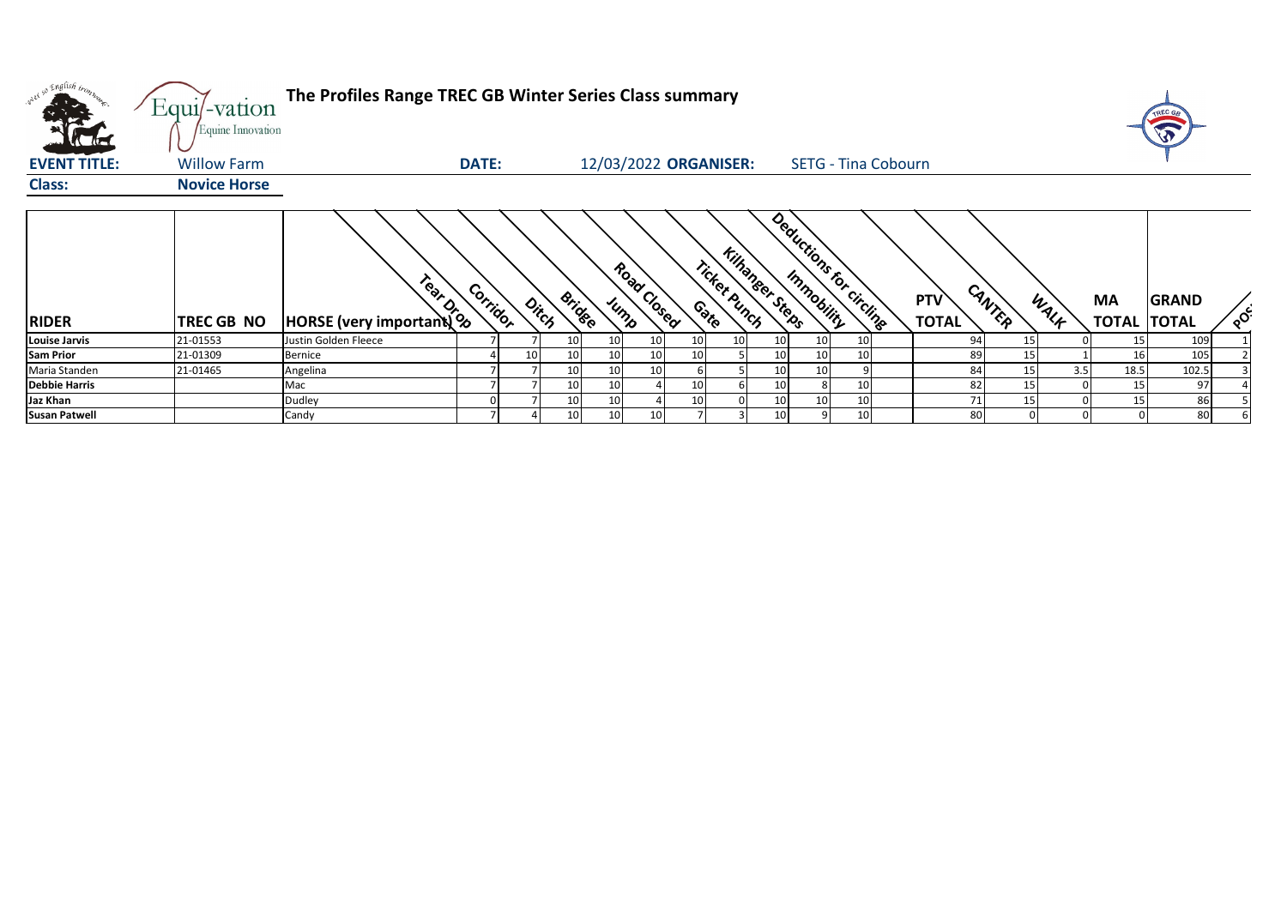| w <sup>ed 50</sup> English bronze | Equi/-vation<br>Equine Innovation | The Profiles Range TREC GB Winter Series Class summary                                                                                                                                                                         |              |       |               |                 |                 |                       |              |                         |    |                            |                            |                 |      |                                 |              |          |
|-----------------------------------|-----------------------------------|--------------------------------------------------------------------------------------------------------------------------------------------------------------------------------------------------------------------------------|--------------|-------|---------------|-----------------|-----------------|-----------------------|--------------|-------------------------|----|----------------------------|----------------------------|-----------------|------|---------------------------------|--------------|----------|
| <b>EVENT TITLE:</b>               | <b>Willow Farm</b>                |                                                                                                                                                                                                                                | <b>DATE:</b> |       |               |                 |                 | 12/03/2022 ORGANISER: |              |                         |    | <b>SETG - Tina Cobourn</b> |                            |                 |      |                                 |              |          |
| <b>Class:</b>                     | <b>Novice Horse</b>               |                                                                                                                                                                                                                                |              |       |               |                 |                 |                       |              |                         |    |                            |                            |                 |      |                                 |              |          |
| <b>RIDER</b>                      | TREC GB NO                        | Reserved to the Reserved of the Reserved of the Reserved of the Reserved of the Reserved of the Reserved of the Reserved of the Reserved of the Reserved of the Reserved of the Reserved of the Reserved of the Reserved of th | Corridor     | Ditch | <b>Bridge</b> | Jump            | Road Closed     | Contro                | Ticket Punch | <b>Kilhangee, Steps</b> |    | Deductions for circling    | <b>PTV</b><br><b>TOTAL</b> | CANTER          | WALK | <b>MA</b><br><b>TOTAL TOTAL</b> | <b>GRAND</b> | $\delta$ |
| <b>Louise Jarvis</b>              | 21-01553                          | Justin Golden Fleece                                                                                                                                                                                                           |              |       | 10            | 10              |                 |                       | 10           | 10                      | 10 | 10                         | 94                         | 15              |      | 15                              | 109          |          |
| <b>Sam Prior</b>                  | 21-01309                          | Bernice                                                                                                                                                                                                                        |              | 10    | 10            | 10              |                 |                       |              | 10 <sup>1</sup>         | 10 | 10                         | 89                         | 15              |      | 16                              | 105          |          |
| Maria Standen                     | 21-01465                          | Angelina                                                                                                                                                                                                                       |              |       | 10            | 10              | 10 <sup>1</sup> |                       |              | 10                      | 10 |                            |                            | 84<br>15        | 3.5  | 18.5                            | 102.5        |          |
| <b>Debbie Harris</b>              |                                   | Mac                                                                                                                                                                                                                            |              |       | 10            | 10              |                 |                       |              | 10                      | 8  | 10 <sub>1</sub>            | 82                         | 15 <sub>l</sub> |      | 15                              | 97           |          |
| Jaz Khan                          |                                   | Dudley                                                                                                                                                                                                                         |              |       | 10            | 10 <sub>l</sub> |                 |                       |              | 10 <sub>l</sub>         | 10 | 10                         | 71                         | 15              |      | 15                              | 86           |          |
| <b>Susan Patwell</b>              |                                   | Candy                                                                                                                                                                                                                          |              |       | 10            | 10 <sup>1</sup> |                 |                       |              | 10 <sup>1</sup>         |    | 10 <sub>1</sub>            | 80                         |                 |      |                                 | 80           |          |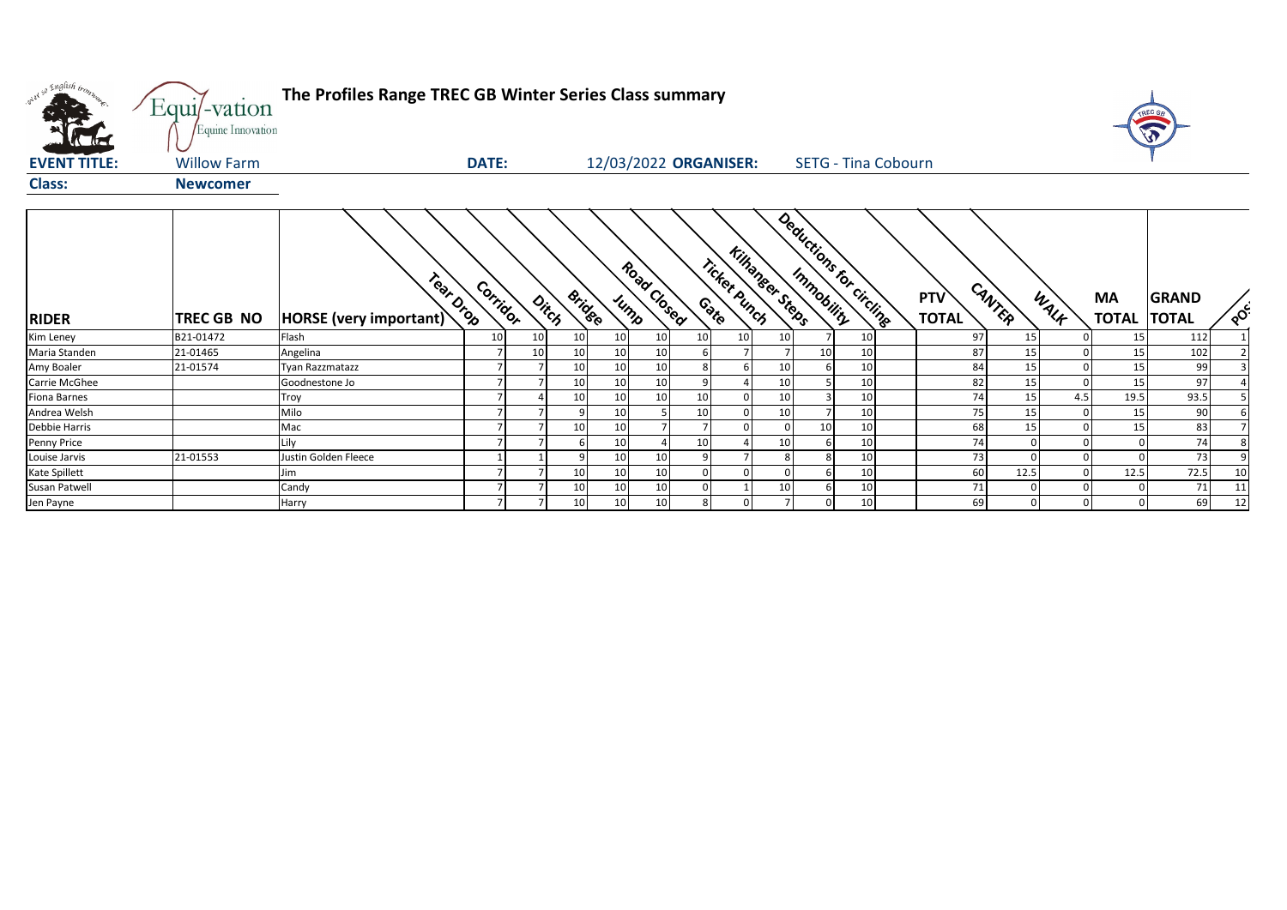| where so English tronn | Equi/-vation<br>Equine Innovation | The Profiles Range TREC GB Winter Series Class summary |              |    |                        |                       |             |                 |                 |                  |                 |                            |                            |              |              |                    |                              |          |
|------------------------|-----------------------------------|--------------------------------------------------------|--------------|----|------------------------|-----------------------|-------------|-----------------|-----------------|------------------|-----------------|----------------------------|----------------------------|--------------|--------------|--------------------|------------------------------|----------|
| <b>EVENT TITLE:</b>    | <b>Willow Farm</b>                |                                                        | <b>DATE:</b> |    |                        | 12/03/2022 ORGANISER: |             |                 |                 |                  |                 | <b>SETG - Tina Cobourn</b> |                            |              |              |                    |                              |          |
| <b>Class:</b>          | <b>Newcomer</b>                   |                                                        |              |    |                        |                       |             |                 |                 |                  |                 |                            |                            |              |              |                    |                              |          |
| <b>RIDER</b>           | <b>TREC GB NO</b>                 | Tear Drop<br>HORSE (very important)                    | Corrigor     |    | <b>Bridge</b><br>Ditch | Jump                  | Road Closed |                 | Ticket Punch    | Kilhangeer Steps |                 | Deductions for circlines   | <b>PTV</b><br><b>TOTAL</b> | CANTER       | WALK         | MA<br><b>TOTAL</b> | <b>GRAND</b><br><b>TOTAL</b> | $\delta$ |
| Kim Leney              | B21-01472                         | Flash                                                  | 10           | 10 | 10                     | 10                    | 10          | 10 <sup>1</sup> | 10 <sup>1</sup> | 10 <sup>1</sup>  |                 | 10                         | 97                         | 15           |              | 15                 | 112                          |          |
| Maria Standen          | 21-01465                          | Angelina                                               |              | 10 | 10                     | 10                    | 10          |                 |                 |                  | 10 <sup>1</sup> | 10                         | 87                         | 15           |              | 15                 | 102                          |          |
| Amy Boaler             | 21-01574                          | Tyan Razzmatazz                                        |              |    | 10 <sup>1</sup>        | 10                    | 10          |                 |                 | 10 <sup>1</sup>  |                 | 10                         | 84                         | 15           |              | 15                 | 99                           |          |
| Carrie McGhee          |                                   | Goodnestone Jo                                         |              |    | 10                     | 10                    | 10          | $\overline{9}$  |                 | 10 <sup>1</sup>  |                 | 10                         | 82                         | 15           | $\mathbf{0}$ | 15                 | 97                           |          |
| <b>Fiona Barnes</b>    |                                   | Troy                                                   |              |    | 10                     | 10                    | 10          | 10              |                 | 10 <sup>1</sup>  |                 | 10                         | 74                         | 15           | 4.5          | 19.5               | 93.5                         |          |
| Andrea Welsh           |                                   | Milo                                                   |              |    |                        | 10                    |             | 10              |                 | 10               |                 | 10                         | 75                         | 15           | $\mathbf 0$  | 15                 | 90                           |          |
| <b>Debbie Harris</b>   |                                   | Mac                                                    |              |    | 10                     | 10                    |             |                 |                 |                  | 10 <sup>1</sup> | 10                         | 68                         | 15           | 0            | 15                 | 83                           |          |
| <b>Penny Price</b>     |                                   | ilv                                                    |              |    |                        | 10                    |             | 10              |                 | 10 <sup>1</sup>  |                 | 10                         | 74                         |              |              |                    | 74                           |          |
| Louise Jarvis          | 21-01553                          | Justin Golden Fleece                                   |              |    |                        | 10                    | 10          | q               |                 | 8 <sup>1</sup>   |                 | 10                         | 73                         |              | $\Omega$     |                    | 73                           |          |
| <b>Kate Spillett</b>   |                                   | lim                                                    |              |    | 10                     | 10                    | 10          |                 |                 |                  |                 | 10                         | 60                         | 12.5         |              | 12.5               | 72.5                         | 10       |
| Susan Patwell          |                                   | Candy                                                  |              |    | 10                     | 10                    | 10          |                 |                 | 10 <sup>1</sup>  |                 | 10                         | 71                         |              |              |                    | 71                           | 11       |
| Jen Payne              |                                   | Harry                                                  |              |    | 10 <sup>1</sup>        | 10 <sup>1</sup>       | 10          | 8               | $\overline{0}$  | $7 \overline{ }$ |                 | 10 <sup>1</sup>            | 69                         | $\mathbf{0}$ | 0            |                    | 69                           | 12       |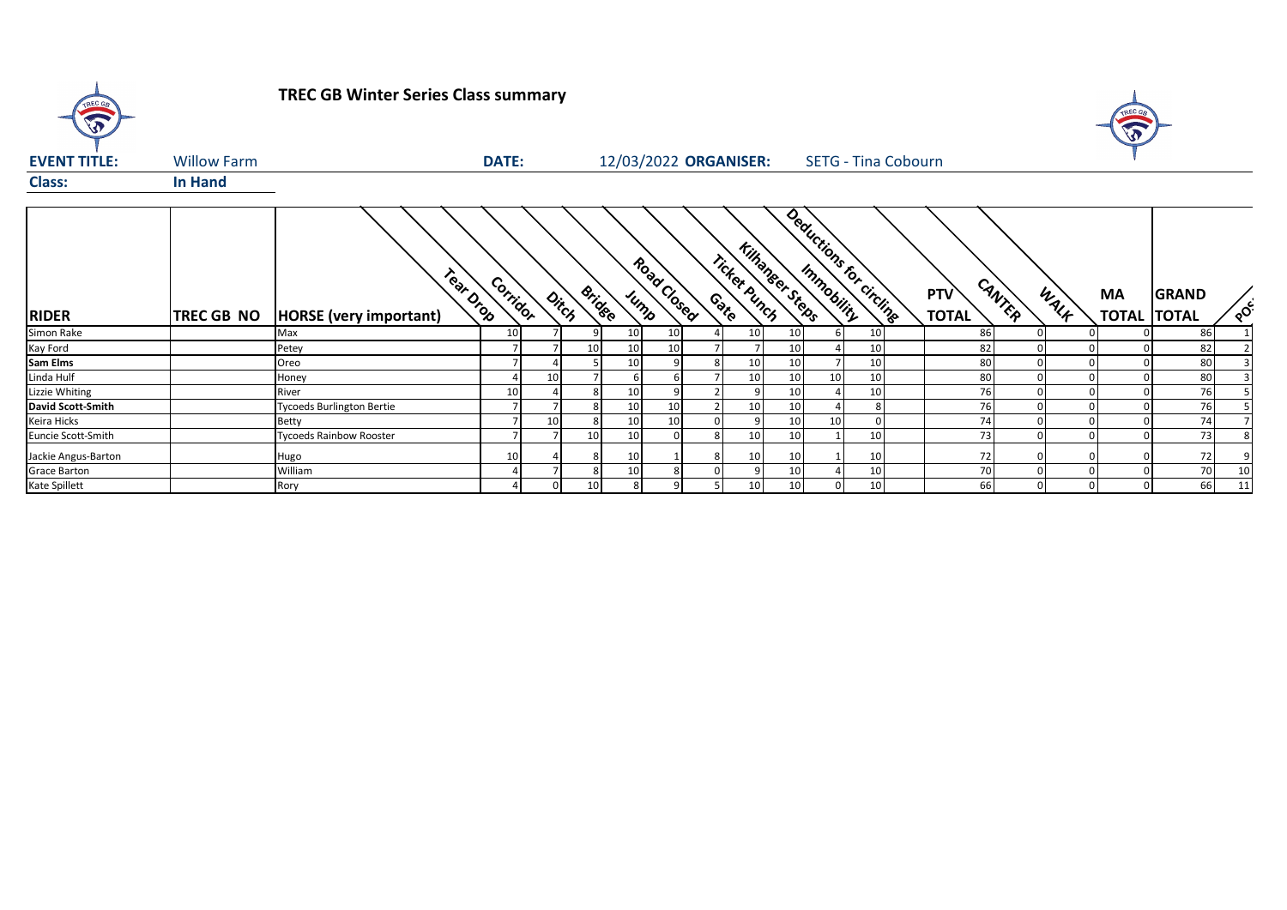

# **TREC GB Winter Series Class summary**



| <b>EVENT TITLE:</b> | <b>Willow Farm</b> |                                            | <b>DATE:</b> |       |               |    |                     | 12/03/2022 ORGANISER:                  |                 |                         |                 | <b>SETG - Tina Cobourn</b> |                     |        |      |           |                                    |          |
|---------------------|--------------------|--------------------------------------------|--------------|-------|---------------|----|---------------------|----------------------------------------|-----------------|-------------------------|-----------------|----------------------------|---------------------|--------|------|-----------|------------------------------------|----------|
| <b>Class:</b>       | <b>In Hand</b>     |                                            |              |       |               |    |                     |                                        |                 |                         |                 |                            |                     |        |      |           |                                    |          |
| <b>RIDER</b>        | <b>TREC GB NO</b>  | Fear Drop<br><b>HORSE</b> (very important) | Corridor     | Ditch | <b>Bridge</b> |    | Road Closed<br>Jump | <b>Killanger Steps</b><br>Ticket Punch |                 | Deductions for circline |                 |                            | PTV<br><b>TOTAL</b> | CANTER | WALF | <b>MA</b> | <b>GRAND</b><br><b>TOTAL TOTAL</b> | $\delta$ |
| Simon Rake          |                    | Max                                        | 10           |       |               | 10 | 10                  | 10                                     | 10              |                         | 10              |                            | 86                  |        |      |           | 86                                 |          |
| Kay Ford            |                    | Petey                                      |              |       | 10            | 10 | 10                  |                                        | 10 <sup>1</sup> |                         | 10              |                            | 82                  |        |      |           | 82                                 |          |
| <b>Sam Elms</b>     |                    | Oreo                                       |              |       |               | 10 |                     | 10                                     | 10 <sup>1</sup> |                         | 10              |                            | 80                  |        |      |           | 80                                 |          |
| Linda Hulf          |                    | Honey                                      |              |       |               |    |                     | 10                                     | 10 <sup>1</sup> | 10 <sup>1</sup>         | 10              |                            | 80                  |        |      |           | 80                                 |          |
| Lizzie Whiting      |                    | River                                      | 10           |       |               | 10 |                     |                                        | 10 <sup>1</sup> |                         | 10              |                            | 76                  |        |      |           | 76                                 |          |
| David Scott-Smith   |                    | <b>Tycoeds Burlington Bertie</b>           |              |       |               | 10 | 10                  |                                        | 10 <sup>1</sup> |                         |                 |                            | 76                  |        |      |           | 76                                 |          |
| Keira Hicks         |                    | <b>Betty</b>                               |              |       |               | 10 | 10 <sub>1</sub>     |                                        | 10 <sup>1</sup> | 10                      |                 |                            | 74                  |        |      |           | 74                                 |          |
| Euncie Scott-Smith  |                    | <b>Tycoeds Rainbow Rooster</b>             |              |       | 10            | 10 | $\Omega$            | 10                                     | 10 <sup>1</sup> |                         | 10              |                            | 73                  |        | 01   |           | 731                                |          |
| Jackie Angus-Barton |                    | Hugo                                       | 10           |       |               | 10 |                     | 10                                     | 10              |                         | 10              |                            | 72                  |        |      |           | 72                                 |          |
| <b>Grace Barton</b> |                    | William                                    |              |       |               | 10 |                     |                                        | 10 <sup>1</sup> |                         | 10              |                            | 70                  |        |      |           | 70                                 | 10       |
| Kate Spillett       |                    | Rory                                       |              |       | 10            |    |                     | 10                                     | 10 <sup>1</sup> | $\overline{0}$          | 10 <sub>1</sub> |                            | 66                  |        | 01   |           | 66                                 |          |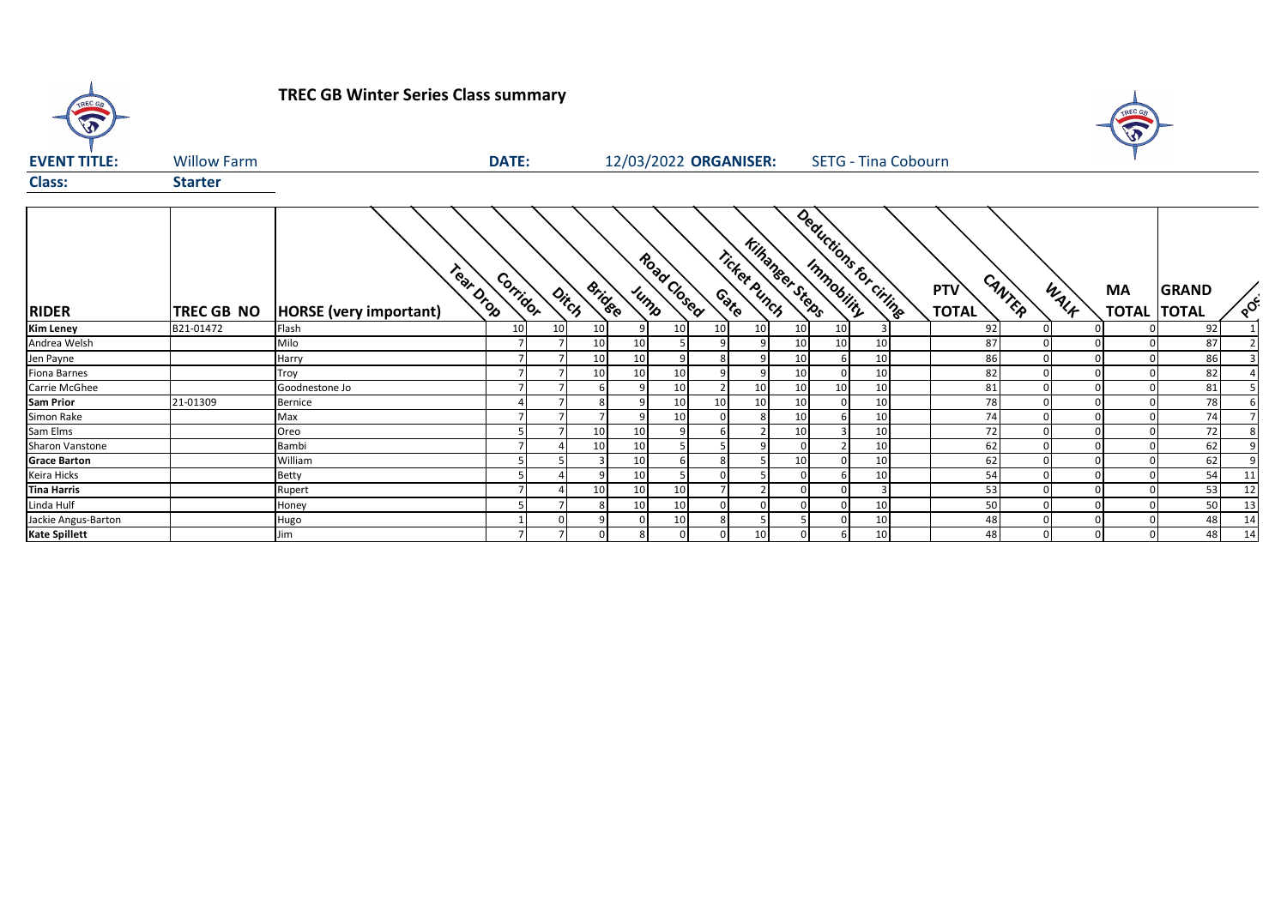

# **TREC GB Winter Series Class summary**



| <b>EVENT TITLE:</b>  | <b>Willow Farm</b> |                                            | <b>DATE:</b><br>12/03/2022 ORGANISER: |                 |                        |    |                     |                | <b>SETG - Tina Cobourn</b> |                         |                 |                       |                            |                |           |                                    |                  |
|----------------------|--------------------|--------------------------------------------|---------------------------------------|-----------------|------------------------|----|---------------------|----------------|----------------------------|-------------------------|-----------------|-----------------------|----------------------------|----------------|-----------|------------------------------------|------------------|
| <b>Class:</b>        | <b>Starter</b>     |                                            |                                       |                 |                        |    |                     |                |                            |                         |                 |                       |                            |                |           |                                    |                  |
| <b>RIDER</b>         | <b>TREC GB NO</b>  | Tear Drop<br><b>HORSE</b> (very important) | Corridor                              |                 | <b>Bridge</b><br>Ditch |    | Road Closed<br>Jump |                | Ticket Punch<br>Cate       | <b>Killangeer Steps</b> |                 | Deductions for cities | <b>PTV</b><br><b>TOTAL</b> | CANTER<br>WALK | <b>MA</b> | <b>GRAND</b><br><b>TOTAL TOTAL</b> | $\delta_{\rm Q}$ |
| <b>Kim Leney</b>     | B21-01472          | Flash                                      | 10 <sup>1</sup>                       | 10 <sup>1</sup> | 10                     |    | 10                  | 10             | 10                         | 10 <sup>1</sup>         | 10 <sup>1</sup> |                       | 92                         | $\mathbf{0}$   |           | 92                                 |                  |
| Andrea Welsh         |                    | Milo                                       |                                       |                 | 10                     | 10 |                     | 9              | q                          | 10 <sup>1</sup>         | 10              | 10                    | 87                         | $\mathbf{0}$   |           | 87                                 |                  |
| Jen Payne            |                    | Harry                                      |                                       |                 | 10                     | 10 |                     | $\mathbf{8}$   | $\Omega$                   | 10 <sup>1</sup>         | 6               | 10                    | 86                         |                |           | 86                                 |                  |
| Fiona Barnes         |                    | Troy                                       |                                       |                 | 10                     | 10 | 10                  |                | 9                          | 10                      |                 | 10                    | 82                         | $\mathbf{0}$   |           | 82                                 |                  |
| Carrie McGhee        |                    | Goodnestone Jo                             |                                       |                 |                        |    | 10                  |                | 10                         | 10 <sup>1</sup>         | 10              | 10                    | 81                         | $\Omega$       |           | 81                                 |                  |
| <b>Sam Prior</b>     | 21-01309           | Bernice                                    |                                       |                 |                        |    | 10                  | 10             | 10                         | 10                      | $\Omega$        | 10                    | 78                         |                |           | 78                                 |                  |
| Simon Rake           |                    | Max                                        |                                       |                 |                        |    | 10                  |                |                            | 10                      | 6               | 10                    | 74                         | $\Omega$       |           | 74                                 |                  |
| Sam Elms             |                    | Oreo                                       |                                       |                 | 10                     | 10 | 9                   |                |                            | 10                      | $\overline{3}$  | 10                    | 72                         | $\overline{0}$ |           | 72                                 |                  |
| Sharon Vanstone      |                    | Bambi                                      |                                       |                 | 10                     | 10 |                     |                | $\Omega$                   | $\Omega$                | $\overline{2}$  | 10                    | 62                         | $\Omega$       |           | 62                                 |                  |
| <b>Grace Barton</b>  |                    | William                                    |                                       |                 |                        | 10 |                     |                |                            | 10                      |                 | 10                    | 62                         |                |           | 62                                 |                  |
| Keira Hicks          |                    | <b>Betty</b>                               |                                       |                 |                        | 10 |                     |                |                            | $\Omega$                | 6               | 10                    | 54                         | $\Omega$       |           | 54                                 | 11               |
| <b>Tina Harris</b>   |                    | Rupert                                     |                                       |                 | 10                     | 10 | 10                  | $\overline{ }$ |                            | $\Omega$                | $\Omega$        |                       | 53                         | $\overline{0}$ |           | 53                                 | 12               |
| Linda Hulf           |                    | Honey                                      |                                       |                 |                        | 10 | 10                  | $\Omega$       |                            | $\Omega$                | $\Omega$        | 10                    | 50                         | $\overline{0}$ |           | 50                                 | 13               |
| Jackie Angus-Barton  |                    | Hugo                                       |                                       |                 |                        |    | 10                  | 8              |                            |                         |                 | 10                    | 48                         | $\Omega$       |           | 48                                 | 14               |
| <b>Kate Spillett</b> |                    | Jim                                        |                                       | $\overline{ }$  |                        |    |                     | $\Omega$       | 10                         | $\Omega$                | 6               | 10                    | 48                         | $\Omega$       |           | 48                                 | 14               |